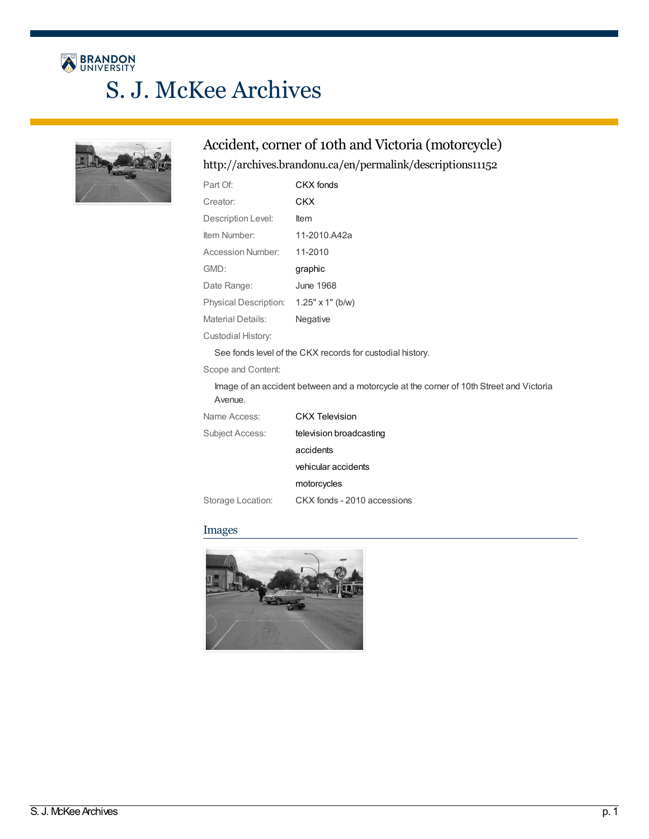# BRANDON S. J. McKee Archives

## Accident, corner of 10th and Victoria (motorcycle)

#### <http://archives.brandonu.ca/en/permalink/descriptions11152>

| Part Of:                 | CKX fonds               |
|--------------------------|-------------------------|
| Creator:                 | <b>CKX</b>              |
| Description Level:       | Item                    |
| Item Number:             | 11-2010.A42a            |
| Accession Number:        | 11-2010                 |
|                          |                         |
| GMD:                     | graphic                 |
| Date Range:              | June 1968               |
| Physical Description:    | $1.25" \times 1"$ (b/w) |
| <b>Material Details:</b> | Negative                |

See fonds level of the CKX records for custodial history.

Scope and Content:

Image of an accident between and a motorcycle at the corner of 10th Street and Victoria Avenue.

| Name Access:      | CKX Television              |
|-------------------|-----------------------------|
| Subject Access:   | television broadcasting     |
|                   | accidents                   |
|                   | vehicular accidents         |
|                   | motorcycles                 |
| Storage Location: | CKX fonds - 2010 accessions |

#### Images

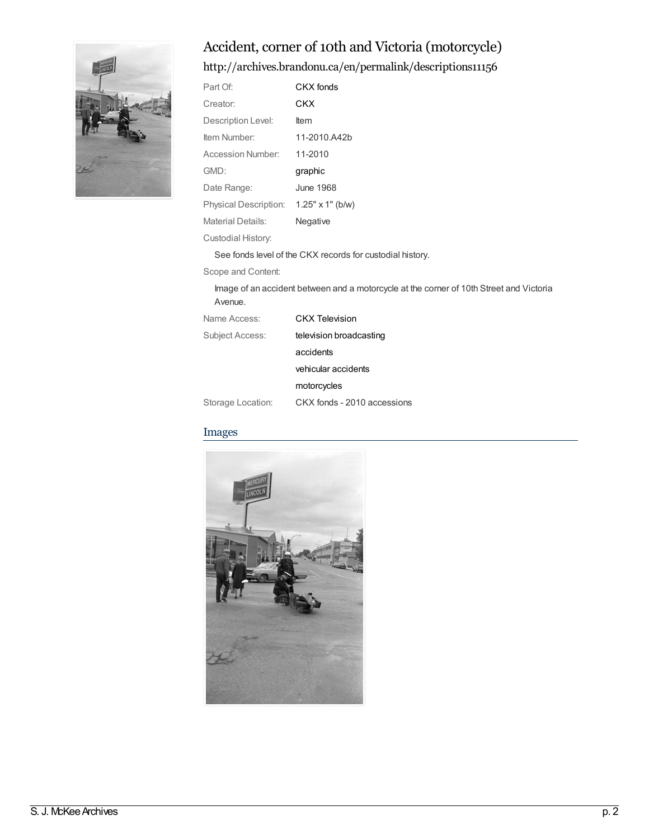# Accident, corner of 10th and Victoria (motorcycle)



### <http://archives.brandonu.ca/en/permalink/descriptions11156>

| Part Of:                               | CKX fonds                                                 |
|----------------------------------------|-----------------------------------------------------------|
| Creator:                               | CKX                                                       |
| Description Level:                     | ltem                                                      |
| Item Number:                           | 11-2010.A42b                                              |
| <b>Accession Number:</b>               | 11-2010                                                   |
| GMD:                                   | graphic                                                   |
| Date Range:                            | <b>June 1968</b>                                          |
| Physical Description: 1.25" x 1" (b/w) |                                                           |
| <b>Material Details:</b>               | Negative                                                  |
| Custodial History:                     |                                                           |
|                                        | See fonds level of the CKX records for custodial history. |
| Scope and Content:                     |                                                           |
|                                        |                                                           |

Image of an accident between and a motorcycle at the corner of 10th Street and Victoria Avenue.

| Name Access:      | <b>CKX Television</b>       |
|-------------------|-----------------------------|
| Subject Access:   | television broadcasting     |
|                   | accidents                   |
|                   | vehicular accidents         |
|                   | motorcycles                 |
| Storage Location: | CKX fonds - 2010 accessions |

#### Images

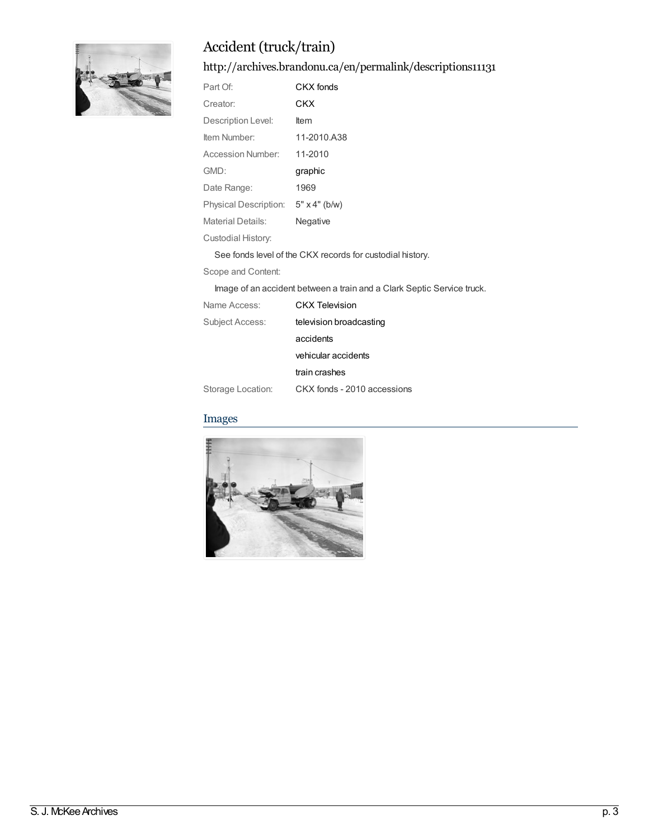

# Accident (truck/train)

<http://archives.brandonu.ca/en/permalink/descriptions11131>

| Part Of:              | CKX fonds                                                 |
|-----------------------|-----------------------------------------------------------|
| Creator:              | CKX                                                       |
| Description Level:    | ltem                                                      |
| Item Number:          | 11-2010.A38                                               |
| Accession Number:     | 11-2010                                                   |
| GMD:                  | graphic                                                   |
| Date Range:           | 1969                                                      |
| Physical Description: | $5" \times 4"$ (b/w)                                      |
| Material Details:     | Negative                                                  |
| Custodial History:    |                                                           |
|                       | See fonds level of the CKX records for custodial history. |
| Scope and Content:    |                                                           |

Image of an accident between a train and a Clark Septic Service truck.

| Name Access:      | CKX Television              |
|-------------------|-----------------------------|
| Subject Access:   | television broadcasting     |
|                   | accidents                   |
|                   | vehicular accidents         |
|                   | train crashes               |
| Storage Location: | CKX fonds - 2010 accessions |

#### Images

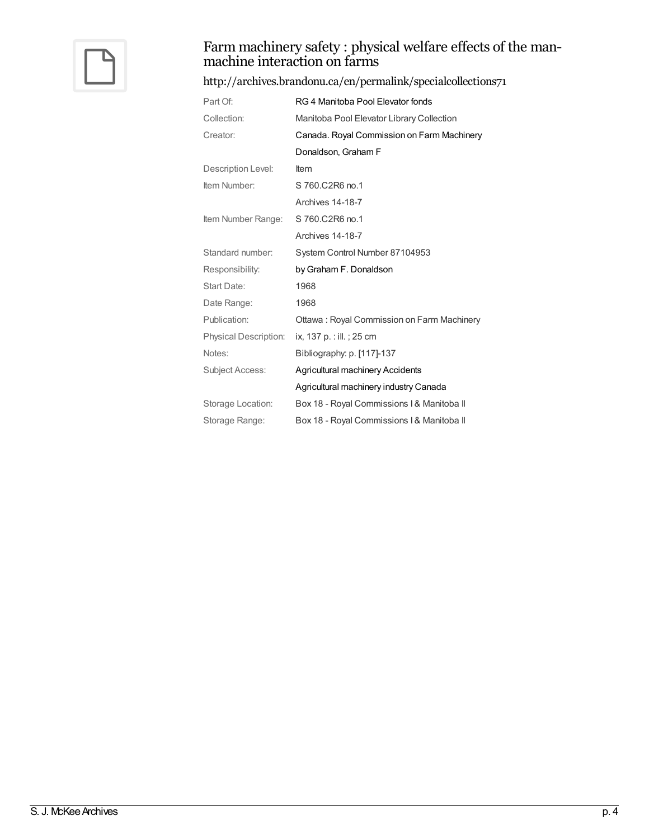

# Farm machinery safety : physical welfare effects of the man- machine interaction on farms

#### <http://archives.brandonu.ca/en/permalink/specialcollections71>

| Part Of:                     | RG 4 Manitoba Pool Elevator fonds          |
|------------------------------|--------------------------------------------|
| Collection:                  | Manitoba Pool Elevator Library Collection  |
| Creator:                     | Canada. Royal Commission on Farm Machinery |
|                              | Donaldson, Graham F                        |
| Description Level:           | Item                                       |
| Item Number:                 | S 760.C2R6 no.1                            |
|                              | Archives 14-18-7                           |
| Item Number Range:           | S 760.C2R6 no.1                            |
|                              | Archives 14-18-7                           |
| Standard number:             | System Control Number 87104953             |
|                              |                                            |
| Responsibility:              | by Graham F. Donaldson                     |
| Start Date:                  | 1968                                       |
| Date Range:                  | 1968                                       |
| Publication:                 | Ottawa: Royal Commission on Farm Machinery |
| <b>Physical Description:</b> | ix, 137 p. : ill. ; 25 cm                  |
| Notes:                       | Bibliography: p. [117]-137                 |
| Subject Access:              | Agricultural machinery Accidents           |
|                              | Agricultural machinery industry Canada     |
| Storage Location:            | Box 18 - Royal Commissions I & Manitoba II |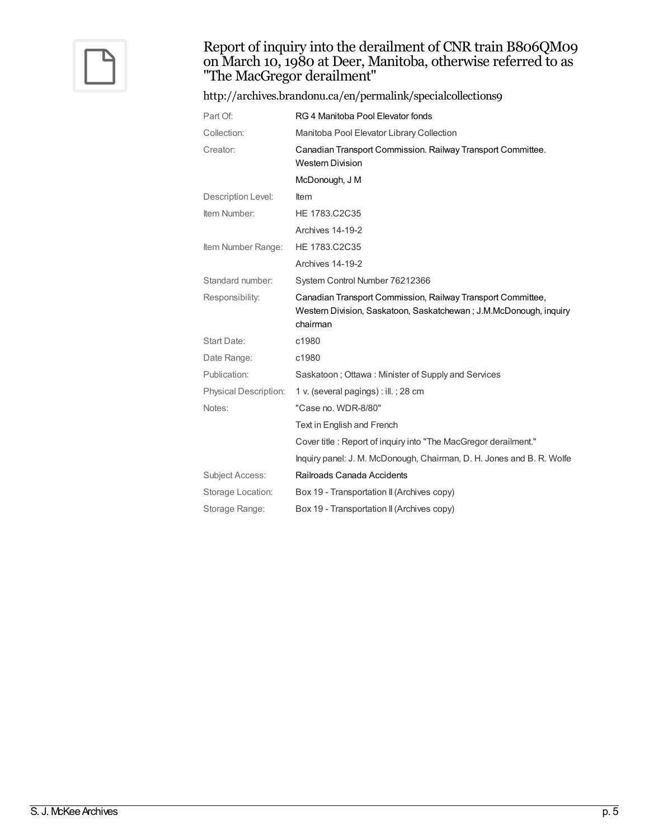

#### Report of inquiry into the derailment of CNR train B806QM09 on March 10, 1980 at Deer, Manitoba, otherwise referred to as "The MacGregor derailment"

| http://archives.brandonu.ca/en/permalink/specialcollections9 |                                                                                                                                              |
|--------------------------------------------------------------|----------------------------------------------------------------------------------------------------------------------------------------------|
| Part Of:                                                     | RG 4 Manitoba Pool Elevator fonds                                                                                                            |
| Collection:                                                  | Manitoba Pool Elevator Library Collection                                                                                                    |
| Creator:                                                     | Canadian Transport Commission. Railway Transport Committee.<br><b>Western Division</b>                                                       |
|                                                              | McDonough, J M                                                                                                                               |
| Description Level:                                           | <b>Item</b>                                                                                                                                  |
| Item Number:                                                 | HE 1783.C2C35                                                                                                                                |
|                                                              | Archives 14-19-2                                                                                                                             |
| Item Number Range:                                           | HE 1783.C2C35                                                                                                                                |
|                                                              | Archives 14-19-2                                                                                                                             |
| Standard number:                                             | System Control Number 76212366                                                                                                               |
| Responsibility:                                              | Canadian Transport Commission, Railway Transport Committee,<br>Western Division, Saskatoon, Saskatchewan; J.M.McDonough, inquiry<br>chairman |
| Start Date:                                                  | c1980                                                                                                                                        |
| Date Range:                                                  | c1980                                                                                                                                        |
| Publication:                                                 | Saskatoon; Ottawa: Minister of Supply and Services                                                                                           |
| Physical Description:                                        | 1 v. (several pagings) : ill. ; 28 cm                                                                                                        |
| Notes:                                                       | "Case no. WDR-8/80"                                                                                                                          |
|                                                              | Text in English and French                                                                                                                   |
|                                                              | Cover title : Report of inquiry into "The MacGregor derailment."                                                                             |
|                                                              | Inquiry panel: J. M. McDonough, Chairman, D. H. Jones and B. R. Wolfe                                                                        |
| <b>Subject Access:</b>                                       | Railroads Canada Accidents                                                                                                                   |
| Storage Location:                                            | Box 19 - Transportation II (Archives copy)                                                                                                   |
| Storage Range:                                               | Box 19 - Transportation II (Archives copy)                                                                                                   |

#### $\overline{S. J. NcKee$  Archives p. 5